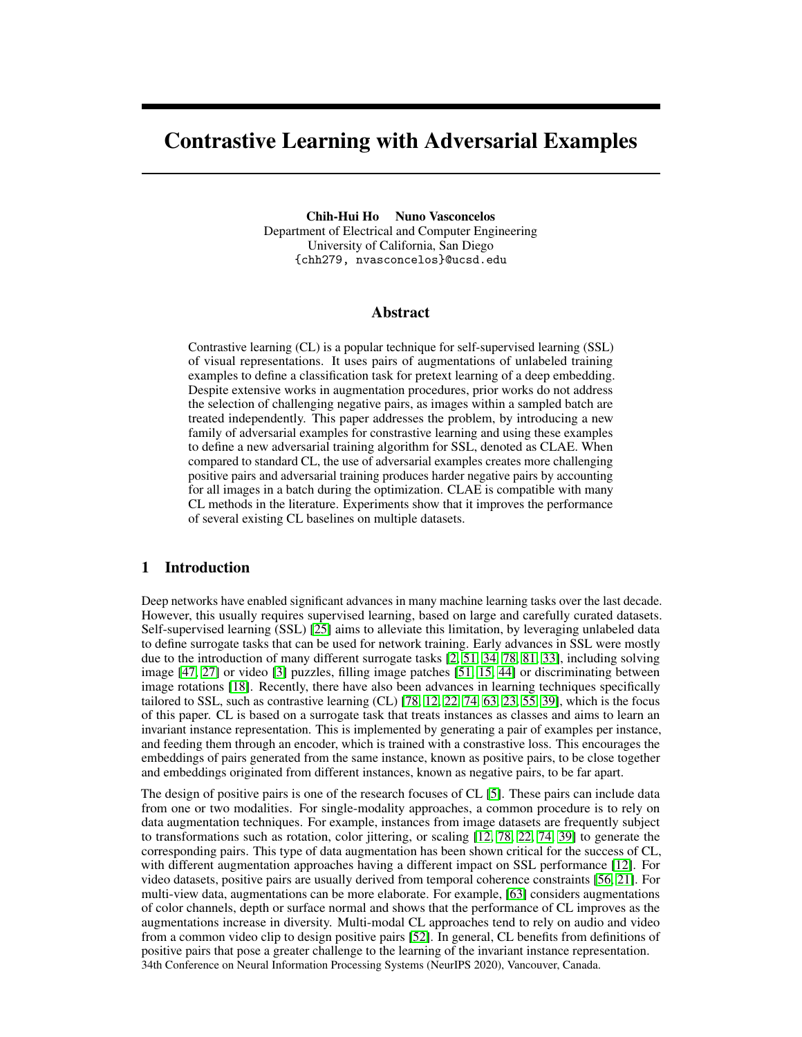# Contrastive Learning with Adversarial Examples

Chih-Hui Ho Nuno Vasconcelos Department of Electrical and Computer Engineering University of California, San Diego {chh279, nvasconcelos}@ucsd.edu

# Abstract

Contrastive learning (CL) is a popular technique for self-supervised learning (SSL) of visual representations. It uses pairs of augmentations of unlabeled training examples to define a classification task for pretext learning of a deep embedding. Despite extensive works in augmentation procedures, prior works do not address the selection of challenging negative pairs, as images within a sampled batch are treated independently. This paper addresses the problem, by introducing a new family of adversarial examples for constrastive learning and using these examples to define a new adversarial training algorithm for SSL, denoted as CLAE. When compared to standard CL, the use of adversarial examples creates more challenging positive pairs and adversarial training produces harder negative pairs by accounting for all images in a batch during the optimization. CLAE is compatible with many CL methods in the literature. Experiments show that it improves the performance of several existing CL baselines on multiple datasets.

# 1 Introduction

Deep networks have enabled significant advances in many machine learning tasks over the last decade. However, this usually requires supervised learning, based on large and carefully curated datasets. Self-supervised learning (SSL) [\[25\]](#page-10-0) aims to alleviate this limitation, by leveraging unlabeled data to define surrogate tasks that can be used for network training. Early advances in SSL were mostly due to the introduction of many different surrogate tasks [\[2,](#page-9-0) [51,](#page-11-0) [34,](#page-10-1) [78,](#page-12-0) [81,](#page-12-1) [33\]](#page-10-2), including solving image [\[47,](#page-11-1) [27\]](#page-10-3) or video [\[3\]](#page-9-1) puzzles, filling image patches [\[51,](#page-11-0) [15,](#page-9-2) [44\]](#page-11-2) or discriminating between image rotations [\[18\]](#page-9-3). Recently, there have also been advances in learning techniques specifically tailored to SSL, such as contrastive learning (CL) [\[78,](#page-12-0) [12,](#page-9-4) [22,](#page-10-4) [74,](#page-12-2) [63,](#page-11-3) [23,](#page-10-5) [55,](#page-11-4) [39\]](#page-10-6), which is the focus of this paper. CL is based on a surrogate task that treats instances as classes and aims to learn an invariant instance representation. This is implemented by generating a pair of examples per instance, and feeding them through an encoder, which is trained with a constrastive loss. This encourages the embeddings of pairs generated from the same instance, known as positive pairs, to be close together and embeddings originated from different instances, known as negative pairs, to be far apart.

The design of positive pairs is one of the research focuses of CL [\[5\]](#page-9-5). These pairs can include data from one or two modalities. For single-modality approaches, a common procedure is to rely on data augmentation techniques. For example, instances from image datasets are frequently subject to transformations such as rotation, color jittering, or scaling [\[12,](#page-9-4) [78,](#page-12-0) [22,](#page-10-4) [74,](#page-12-2) [39\]](#page-10-6) to generate the corresponding pairs. This type of data augmentation has been shown critical for the success of CL, with different augmentation approaches having a different impact on SSL performance [\[12\]](#page-9-4). For video datasets, positive pairs are usually derived from temporal coherence constraints [\[56,](#page-11-5) [21\]](#page-9-6). For multi-view data, augmentations can be more elaborate. For example, [\[63\]](#page-11-3) considers augmentations of color channels, depth or surface normal and shows that the performance of CL improves as the augmentations increase in diversity. Multi-modal CL approaches tend to rely on audio and video from a common video clip to design positive pairs [\[52\]](#page-11-6). In general, CL benefits from definitions of positive pairs that pose a greater challenge to the learning of the invariant instance representation. 34th Conference on Neural Information Processing Systems (NeurIPS 2020), Vancouver, Canada.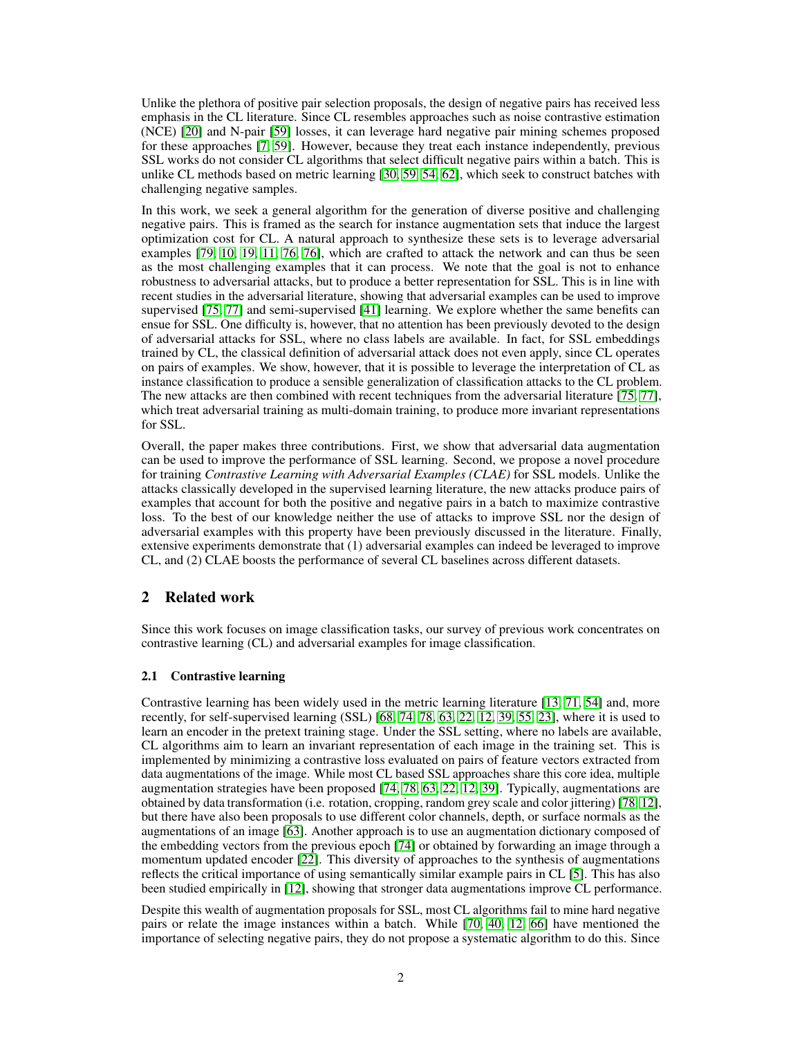Unlike the plethora of positive pair selection proposals, the design of negative pairs has received less emphasis in the CL literature. Since CL resembles approaches such as noise contrastive estimation (NCE) [\[20\]](#page-9-7) and N-pair [\[59\]](#page-11-7) losses, it can leverage hard negative pair mining schemes proposed for these approaches [\[7,](#page-9-8) [59\]](#page-11-7). However, because they treat each instance independently, previous SSL works do not consider CL algorithms that select difficult negative pairs within a batch. This is unlike CL methods based on metric learning [\[30,](#page-10-7) [59,](#page-11-7) [54,](#page-11-8) [62\]](#page-11-9), which seek to construct batches with challenging negative samples.

In this work, we seek a general algorithm for the generation of diverse positive and challenging negative pairs. This is framed as the search for instance augmentation sets that induce the largest optimization cost for CL. A natural approach to synthesize these sets is to leverage adversarial examples [\[79,](#page-12-3) [10,](#page-9-9) [19,](#page-9-10) [11,](#page-9-11) [76,](#page-12-4) [76\]](#page-12-4), which are crafted to attack the network and can thus be seen as the most challenging examples that it can process. We note that the goal is not to enhance robustness to adversarial attacks, but to produce a better representation for SSL. This is in line with recent studies in the adversarial literature, showing that adversarial examples can be used to improve supervised [\[75,](#page-12-5) [77\]](#page-12-6) and semi-supervised [\[41\]](#page-10-8) learning. We explore whether the same benefits can ensue for SSL. One difficulty is, however, that no attention has been previously devoted to the design of adversarial attacks for SSL, where no class labels are available. In fact, for SSL embeddings trained by CL, the classical definition of adversarial attack does not even apply, since CL operates on pairs of examples. We show, however, that it is possible to leverage the interpretation of CL as instance classification to produce a sensible generalization of classification attacks to the CL problem. The new attacks are then combined with recent techniques from the adversarial literature  $[75, 77]$  $[75, 77]$  $[75, 77]$ , which treat adversarial training as multi-domain training, to produce more invariant representations for SSL.

Overall, the paper makes three contributions. First, we show that adversarial data augmentation can be used to improve the performance of SSL learning. Second, we propose a novel procedure for training *Contrastive Learning with Adversarial Examples (CLAE)* for SSL models. Unlike the attacks classically developed in the supervised learning literature, the new attacks produce pairs of examples that account for both the positive and negative pairs in a batch to maximize contrastive loss. To the best of our knowledge neither the use of attacks to improve SSL nor the design of adversarial examples with this property have been previously discussed in the literature. Finally, extensive experiments demonstrate that (1) adversarial examples can indeed be leveraged to improve CL, and (2) CLAE boosts the performance of several CL baselines across different datasets.

# 2 Related work

Since this work focuses on image classification tasks, our survey of previous work concentrates on contrastive learning (CL) and adversarial examples for image classification.

#### 2.1 Contrastive learning

Contrastive learning has been widely used in the metric learning literature [\[13,](#page-9-12) [71,](#page-12-7) [54\]](#page-11-8) and, more recently, for self-supervised learning (SSL) [\[68,](#page-12-8) [74,](#page-12-2) [78,](#page-12-0) [63,](#page-11-3) [22,](#page-10-4) [12,](#page-9-4) [39,](#page-10-6) [55,](#page-11-4) [23\]](#page-10-5), where it is used to learn an encoder in the pretext training stage. Under the SSL setting, where no labels are available, CL algorithms aim to learn an invariant representation of each image in the training set. This is implemented by minimizing a contrastive loss evaluated on pairs of feature vectors extracted from data augmentations of the image. While most CL based SSL approaches share this core idea, multiple augmentation strategies have been proposed [\[74,](#page-12-2) [78,](#page-12-0) [63,](#page-11-3) [22,](#page-10-4) [12,](#page-9-4) [39\]](#page-10-6). Typically, augmentations are obtained by data transformation (i.e. rotation, cropping, random grey scale and color jittering) [\[78,](#page-12-0) [12\]](#page-9-4), but there have also been proposals to use different color channels, depth, or surface normals as the augmentations of an image [\[63\]](#page-11-3). Another approach is to use an augmentation dictionary composed of the embedding vectors from the previous epoch [\[74\]](#page-12-2) or obtained by forwarding an image through a momentum updated encoder [\[22\]](#page-10-4). This diversity of approaches to the synthesis of augmentations reflects the critical importance of using semantically similar example pairs in CL [\[5\]](#page-9-5). This has also been studied empirically in [\[12\]](#page-9-4), showing that stronger data augmentations improve CL performance.

Despite this wealth of augmentation proposals for SSL, most CL algorithms fail to mine hard negative pairs or relate the image instances within a batch. While [\[70,](#page-12-9) [40,](#page-10-9) [12,](#page-9-4) [66\]](#page-12-10) have mentioned the importance of selecting negative pairs, they do not propose a systematic algorithm to do this. Since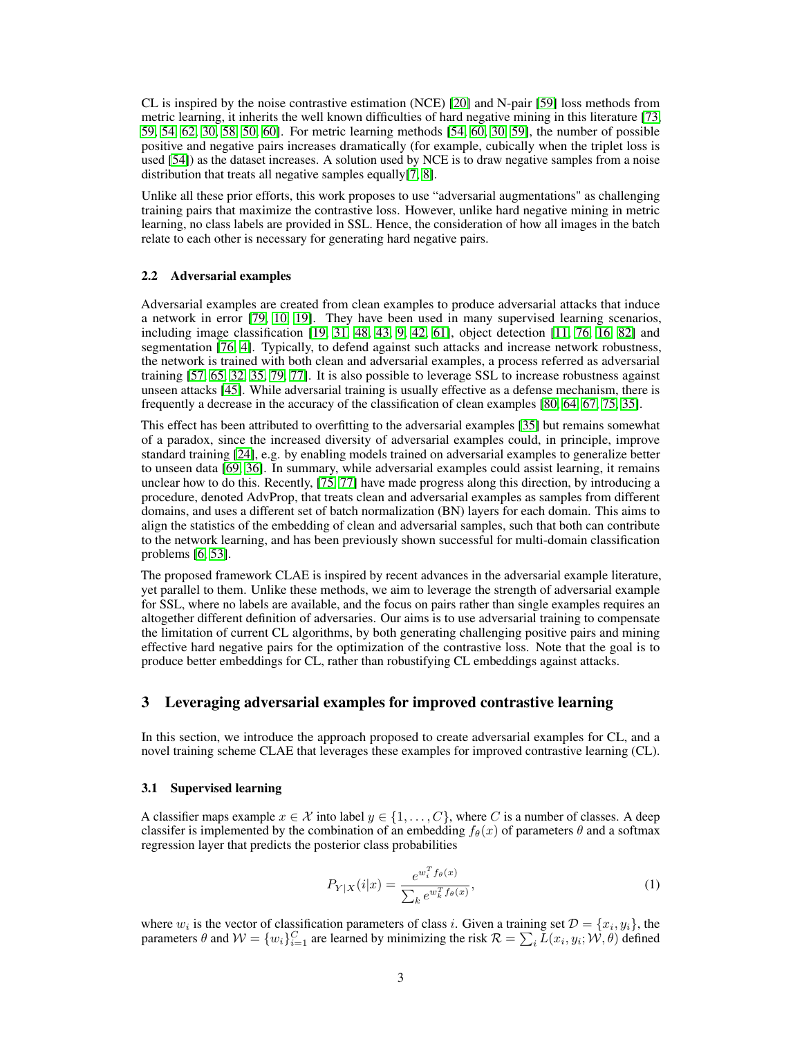CL is inspired by the noise contrastive estimation (NCE) [\[20\]](#page-9-7) and N-pair [\[59\]](#page-11-7) loss methods from metric learning, it inherits the well known difficulties of hard negative mining in this literature [\[73,](#page-12-11) [59,](#page-11-7) [54,](#page-11-8) [62,](#page-11-9) [30,](#page-10-7) [58,](#page-11-10) [50,](#page-11-11) [60\]](#page-11-12). For metric learning methods [\[54,](#page-11-8) [60,](#page-11-12) [30,](#page-10-7) [59\]](#page-11-7), the number of possible positive and negative pairs increases dramatically (for example, cubically when the triplet loss is used [\[54\]](#page-11-8)) as the dataset increases. A solution used by NCE is to draw negative samples from a noise distribution that treats all negative samples equally[\[7,](#page-9-8) [8\]](#page-9-13).

Unlike all these prior efforts, this work proposes to use "adversarial augmentations" as challenging training pairs that maximize the contrastive loss. However, unlike hard negative mining in metric learning, no class labels are provided in SSL. Hence, the consideration of how all images in the batch relate to each other is necessary for generating hard negative pairs.

#### 2.2 Adversarial examples

Adversarial examples are created from clean examples to produce adversarial attacks that induce a network in error [\[79,](#page-12-3) [10,](#page-9-9) [19\]](#page-9-10). They have been used in many supervised learning scenarios, including image classification [\[19,](#page-9-10) [31,](#page-10-10) [48,](#page-11-13) [43,](#page-11-14) [9,](#page-9-14) [42,](#page-10-11) [61\]](#page-11-15), object detection [\[11,](#page-9-11) [76,](#page-12-4) [16,](#page-9-15) [82\]](#page-12-12) and segmentation [\[76,](#page-12-4) [4\]](#page-9-16). Typically, to defend against such attacks and increase network robustness, the network is trained with both clean and adversarial examples, a process referred as adversarial training [\[57,](#page-11-16) [65,](#page-12-13) [32,](#page-10-12) [35,](#page-10-13) [79,](#page-12-3) [77\]](#page-12-6). It is also possible to leverage SSL to increase robustness against unseen attacks [\[45\]](#page-11-17). While adversarial training is usually effective as a defense mechanism, there is frequently a decrease in the accuracy of the classification of clean examples [\[80,](#page-12-14) [64,](#page-11-18) [67,](#page-12-15) [75,](#page-12-5) [35\]](#page-10-13).

This effect has been attributed to overfitting to the adversarial examples [\[35\]](#page-10-13) but remains somewhat of a paradox, since the increased diversity of adversarial examples could, in principle, improve standard training [\[24\]](#page-10-14), e.g. by enabling models trained on adversarial examples to generalize better to unseen data [\[69,](#page-12-16) [36\]](#page-10-15). In summary, while adversarial examples could assist learning, it remains unclear how to do this. Recently, [\[75,](#page-12-5) [77\]](#page-12-6) have made progress along this direction, by introducing a procedure, denoted AdvProp, that treats clean and adversarial examples as samples from different domains, and uses a different set of batch normalization (BN) layers for each domain. This aims to align the statistics of the embedding of clean and adversarial samples, such that both can contribute to the network learning, and has been previously shown successful for multi-domain classification problems [\[6,](#page-9-17) [53\]](#page-11-19).

The proposed framework CLAE is inspired by recent advances in the adversarial example literature, yet parallel to them. Unlike these methods, we aim to leverage the strength of adversarial example for SSL, where no labels are available, and the focus on pairs rather than single examples requires an altogether different definition of adversaries. Our aims is to use adversarial training to compensate the limitation of current CL algorithms, by both generating challenging positive pairs and mining effective hard negative pairs for the optimization of the contrastive loss. Note that the goal is to produce better embeddings for CL, rather than robustifying CL embeddings against attacks.

## 3 Leveraging adversarial examples for improved contrastive learning

In this section, we introduce the approach proposed to create adversarial examples for CL, and a novel training scheme CLAE that leverages these examples for improved contrastive learning (CL).

#### 3.1 Supervised learning

A classifier maps example  $x \in \mathcal{X}$  into label  $y \in \{1, ..., C\}$ , where C is a number of classes. A deep classifer is implemented by the combination of an embedding  $f_\theta(x)$  of parameters  $\theta$  and a softmax regression layer that predicts the posterior class probabilities

$$
P_{Y|X}(i|x) = \frac{e^{w_i^T f_\theta(x)}}{\sum_k e^{w_k^T f_\theta(x)}},\tag{1}
$$

where  $w_i$  is the vector of classification parameters of class *i*. Given a training set  $\mathcal{D} = \{x_i, y_i\}$ , the parameters  $\theta$  and  $W = \{w_i\}_{i=1}^C$  are learned by minimizing the risk  $\mathcal{R} = \sum_i \tilde{L}(x_i, y_i; \mathcal{W}, \theta)$  defined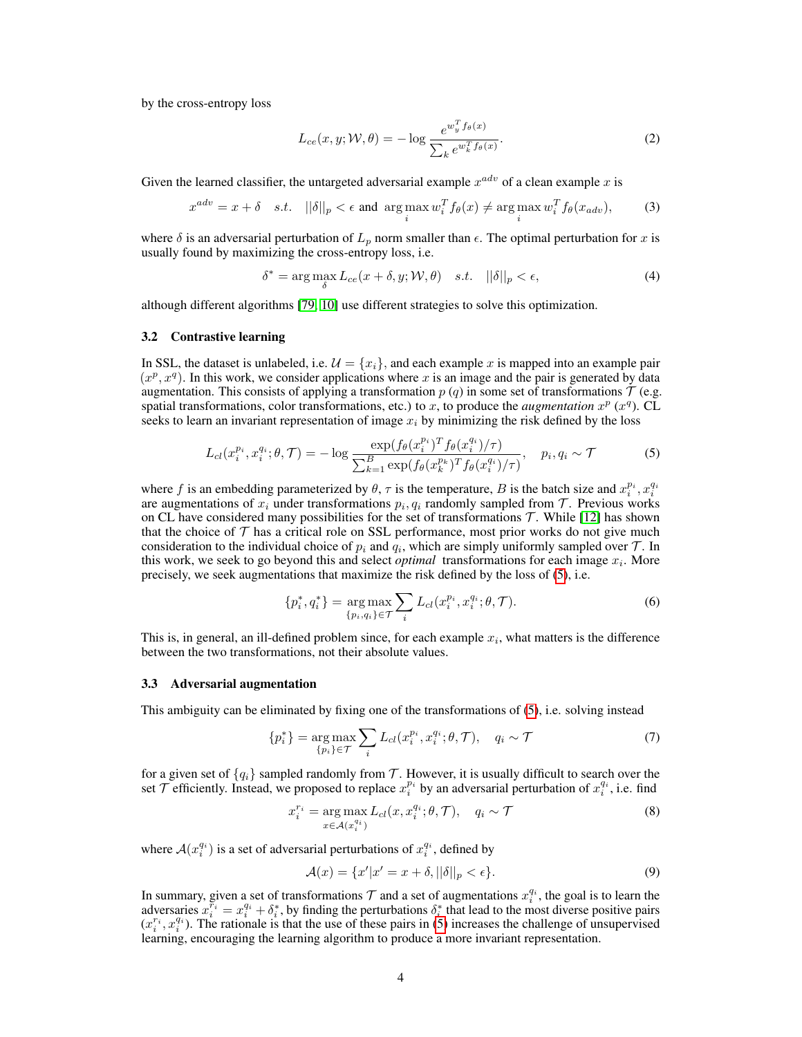by the cross-entropy loss

<span id="page-3-2"></span>
$$
L_{ce}(x, y; \mathcal{W}, \theta) = -\log \frac{e^{w_y^T f_\theta(x)}}{\sum_k e^{w_k^T f_\theta(x)}}.
$$
\n(2)

Given the learned classifier, the untargeted adversarial example  $x^{adv}$  of a clean example x is

$$
x^{adv} = x + \delta \quad s.t. \quad ||\delta||_p < \epsilon \text{ and } \argmax_i w_i^T f_\theta(x) \neq \argmax_i w_i^T f_\theta(x_{adv}), \tag{3}
$$

where  $\delta$  is an adversarial perturbation of  $L_p$  norm smaller than  $\epsilon$ . The optimal perturbation for x is usually found by maximizing the cross-entropy loss, i.e.

<span id="page-3-4"></span>
$$
\delta^* = \arg\max_{\delta} L_{ce}(x + \delta, y; \mathcal{W}, \theta) \quad s.t. \quad ||\delta||_p < \epsilon,
$$
\n(4)

although different algorithms [\[79,](#page-12-3) [10\]](#page-9-9) use different strategies to solve this optimization.

#### 3.2 Contrastive learning

In SSL, the dataset is unlabeled, i.e.  $\mathcal{U} = \{x_i\}$ , and each example x is mapped into an example pair  $(x^p, x^q)$ . In this work, we consider applications where x is an image and the pair is generated by data augmentation. This consists of applying a transformation  $p(q)$  in some set of transformations  $\mathcal T$  (e.g. spatial transformations, color transformations, etc.) to x, to produce the *augmentation*  $x^p$  ( $x^q$ ). CL seeks to learn an invariant representation of image  $x_i$  by minimizing the risk defined by the loss

$$
L_{cl}(x_i^{p_i}, x_i^{q_i}; \theta, \mathcal{T}) = -\log \frac{\exp(f_{\theta}(x_i^{p_i})^T f_{\theta}(x_i^{q_i})/\tau)}{\sum_{k=1}^B \exp(f_{\theta}(x_k^{p_k})^T f_{\theta}(x_i^{q_i})/\tau)}, \quad p_i, q_i \sim \mathcal{T}
$$
 (5)

where f is an embedding parameterized by  $\theta$ ,  $\tau$  is the temperature, B is the batch size and  $x_i^{p_i}$ ,  $x_i^{q_i}$ are augmentations of  $x_i$  under transformations  $p_i, q_i$  randomly sampled from  $\mathcal T$ . Previous works on CL have considered many possibilities for the set of transformations  $T$ . While [\[12\]](#page-9-4) has shown that the choice of  $\mathcal T$  has a critical role on SSL performance, most prior works do not give much consideration to the individual choice of  $p_i$  and  $q_i$ , which are simply uniformly sampled over  $\mathcal{T}$ . In this work, we seek to go beyond this and select *optimal* transformations for each image  $x_i$ . More precisely, we seek augmentations that maximize the risk defined by the loss of [\(5\)](#page-3-0), i.e.

<span id="page-3-0"></span>
$$
\{p_i^*, q_i^*\} = \underset{\{p_i, q_i\} \in \mathcal{T}}{\arg \max} \sum_i L_{cl}(x_i^{p_i}, x_i^{q_i}; \theta, \mathcal{T}).
$$
\n(6)

This is, in general, an ill-defined problem since, for each example  $x_i$ , what matters is the difference between the two transformations, not their absolute values.

#### 3.3 Adversarial augmentation

This ambiguity can be eliminated by fixing one of the transformations of [\(5\)](#page-3-0), i.e. solving instead

$$
\{p_i^*\} = \underset{\{p_i\} \in \mathcal{T}}{\arg \max} \sum_i L_{cl}(x_i^{p_i}, x_i^{q_i}; \theta, \mathcal{T}), \quad q_i \sim \mathcal{T}
$$
\n<sup>(7)</sup>

for a given set of  ${q_i}$  sampled randomly from T. However, it is usually difficult to search over the set  $\mathcal T$  efficiently. Instead, we proposed to replace  $x_i^{p_i}$  by an adversarial perturbation of  $x_i^{q_i}$ , i.e. find

$$
x_i^{r_i} = \underset{x \in \mathcal{A}(x_i^{q_i})}{\arg \max} L_{cl}(x, x_i^{q_i}; \theta, \mathcal{T}), \quad q_i \sim \mathcal{T}
$$
\n
$$
(8)
$$

where  $A(x_i^{q_i})$  is a set of adversarial perturbations of  $x_i^{q_i}$ , defined by

<span id="page-3-3"></span><span id="page-3-1"></span>
$$
\mathcal{A}(x) = \{x'|x' = x + \delta, ||\delta||_p < \epsilon\}.\tag{9}
$$

In summary, given a set of transformations  $\mathcal T$  and a set of augmentations  $x_i^{q_i}$ , the goal is to learn the adversaries  $x_i^{\vec{r}_i} = x_i^{q_i} + \delta_i^*$ , by finding the perturbations  $\delta_i^*$  that lead to the most diverse positive pairs  $(x_i^{r_i}, x_i^{q_i})$ . The rationale is that the use of these pairs in [\(5\)](#page-3-0) increases the challenge of unsupervised learning, encouraging the learning algorithm to produce a more invariant representation.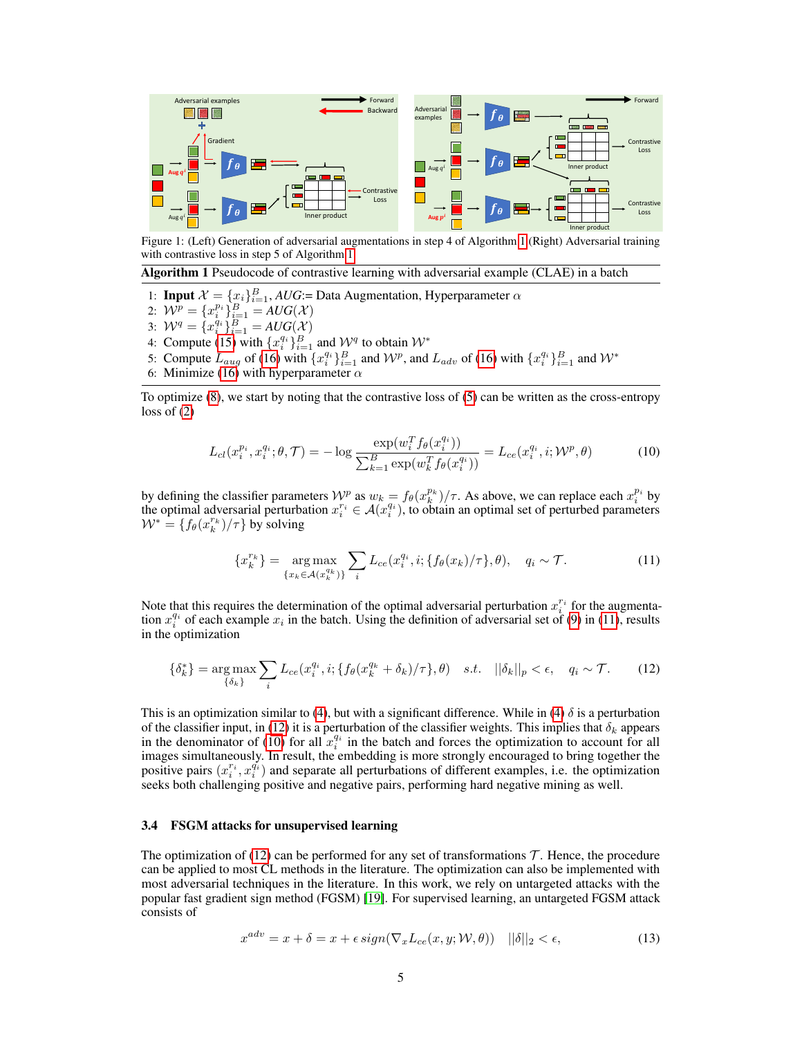<span id="page-4-4"></span>

Figure 1: (Left) Generation of adversarial augmentations in step 4 of Algorithm [1](#page-4-0) (Right) Adversarial training with contrastive loss in step 5 of Algorithm [1.](#page-4-0)

<span id="page-4-0"></span>Algorithm 1 Pseudocode of contrastive learning with adversarial example (CLAE) in a batch

- 1: **Input**  $\mathcal{X} = \{x_i\}_{i=1}^B$ , *AUG*:= Data Augmentation, Hyperparameter  $\alpha$
- 2:  $\mathcal{W}^p = \{x_i^{p_i}\}_{i=1}^B = AUG(\mathcal{X})$
- 3:  $W^q = \{x_i^{q_i}\}_{i=1}^B = AUG(X)$
- 4: Compute [\(15\)](#page-5-0) with  $\{x_i^{q_i}\}_{i=1}^B$  and  $\mathcal{W}^q$  to obtain  $\mathcal{W}^*$
- 5: Compute  $L_{aug}$  of [\(16\)](#page-5-1) with  $\{x_i^{q_i}\}_{i=1}^B$  and  $\mathcal{W}^p$ , and  $L_{adv}$  of (16) with  $\{x_i^{q_i}\}_{i=1}^B$  and  $\mathcal{W}^*$
- 6: Minimize [\(16\)](#page-5-1) with hyperparameter  $\alpha$

To optimize [\(8\)](#page-3-1), we start by noting that the contrastive loss of [\(5\)](#page-3-0) can be written as the cross-entropy loss of [\(2\)](#page-3-2)

<span id="page-4-3"></span>
$$
L_{cl}(x_i^{p_i}, x_i^{q_i}; \theta, \mathcal{T}) = -\log \frac{\exp(w_i^T f_{\theta}(x_i^{q_i}))}{\sum_{k=1}^B \exp(w_k^T f_{\theta}(x_i^{q_i}))} = L_{ce}(x_i^{q_i}, i; \mathcal{W}^p, \theta)
$$
(10)

by defining the classifier parameters  $\mathcal{W}^p$  as  $w_k = f_\theta(x_k^{p_k})/\tau$ . As above, we can replace each  $x_i^{p_i}$  by the optimal adversarial perturbation  $x_i^{r_i} \in \mathcal{A}(x_i^{q_i})$ , to obtain an optimal set of perturbed parameters  $W^* = \{f_\theta(x_k^{r_k})/\tau\}$  by solving

<span id="page-4-2"></span><span id="page-4-1"></span>
$$
\{x_k^{r_k}\} = \underset{\{x_k \in \mathcal{A}(x_k^{q_k})\}}{\arg \max} \sum_i L_{ce}(x_i^{q_i}, i; \{f_\theta(x_k)/\tau\}, \theta), \quad q_i \sim \mathcal{T}.
$$
 (11)

Note that this requires the determination of the optimal adversarial perturbation  $x_i^{r_i}$  for the augmentation  $x_i^{q_i}$  of each example  $x_i$  in the batch. Using the definition of adversarial set of [\(9\)](#page-3-3) in [\(11\)](#page-4-1), results in the optimization

$$
\{\delta_k^*\} = \underset{\{\delta_k\}}{\arg\max} \sum_i L_{ce}(x_i^{q_i}, i; \{f_\theta(x_k^{q_k} + \delta_k)/\tau\}, \theta) \quad s.t. \quad ||\delta_k||_p < \epsilon, \quad q_i \sim \mathcal{T}.\tag{12}
$$

This is an optimization similar to [\(4\)](#page-3-4), but with a significant difference. While in (4)  $\delta$  is a perturbation of the classifier input, in [\(12\)](#page-4-2) it is a perturbation of the classifier weights. This implies that  $\delta_k$  appears in the denominator of [\(10\)](#page-4-3) for all  $x_i^{q_i}$  in the batch and forces the optimization to account for all images simultaneously. In result, the embedding is more strongly encouraged to bring together the positive pairs  $(x_i^{r_i}, x_i^{\tilde{q_i}})$  and separate all perturbations of different examples, i.e. the optimization seeks both challenging positive and negative pairs, performing hard negative mining as well.

#### 3.4 FSGM attacks for unsupervised learning

The optimization of  $(12)$  can be performed for any set of transformations T. Hence, the procedure can be applied to most CL methods in the literature. The optimization can also be implemented with most adversarial techniques in the literature. In this work, we rely on untargeted attacks with the popular fast gradient sign method (FGSM) [\[19\]](#page-9-10). For supervised learning, an untargeted FGSM attack consists of

$$
x^{adv} = x + \delta = x + \epsilon \, sign(\nabla_x L_{ce}(x, y; \mathcal{W}, \theta)) \quad ||\delta||_2 < \epsilon,\tag{13}
$$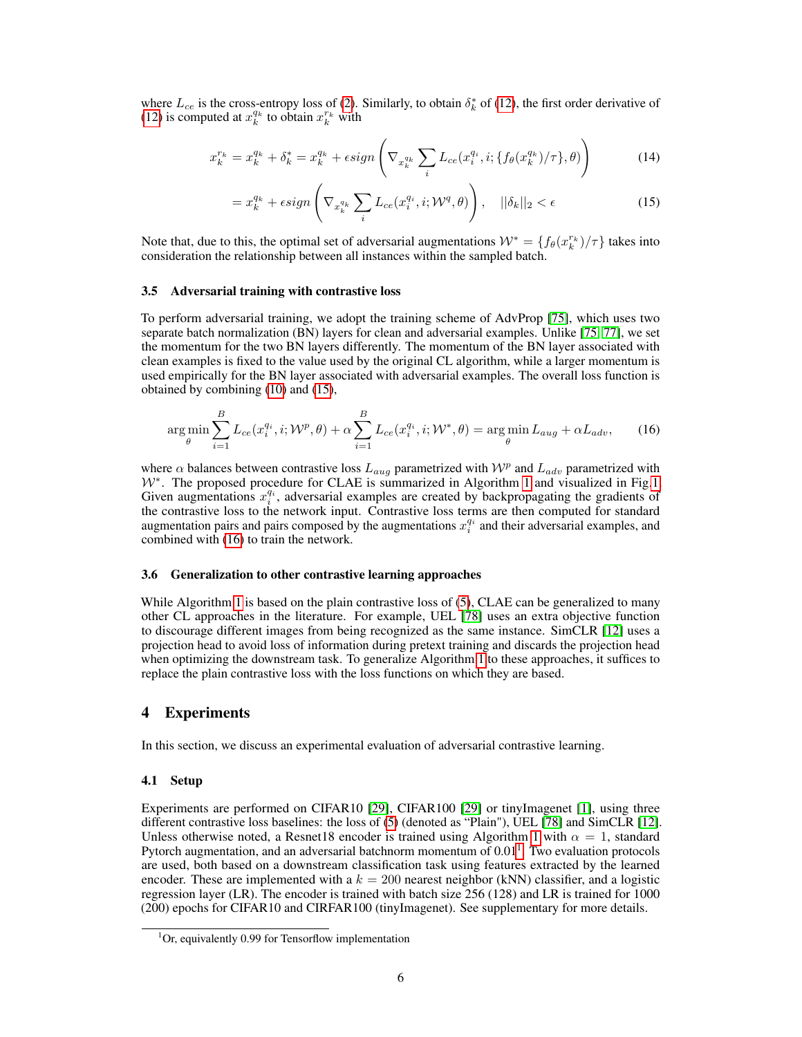where  $L_{ce}$  is the cross-entropy loss of [\(2\)](#page-3-2). Similarly, to obtain  $\delta_k^*$  of [\(12\)](#page-4-2), the first order derivative of [\(12\)](#page-4-2) is computed at  $x_k^{q_k}$  to obtain  $x_k^{r_k}$  with

$$
x_k^{r_k} = x_k^{q_k} + \delta_k^* = x_k^{q_k} + \epsilon \text{sign}\left(\nabla_{x_k^{q_k}} \sum_i L_{ce}(x_i^{q_i}, i; \{f_\theta(x_k^{q_k})/\tau\}, \theta)\right) \tag{14}
$$

<span id="page-5-0"></span>
$$
= x_k^{q_k} + \epsilon \text{sign}\left(\nabla_{x_k^{q_k}} \sum_i L_{ce}(x_i^{q_i}, i; \mathcal{W}^q, \theta)\right), \quad ||\delta_k||_2 < \epsilon \tag{15}
$$

Note that, due to this, the optimal set of adversarial augmentations  $W^* = \{f_\theta(x_k^{r_k})/\tau\}$  takes into consideration the relationship between all instances within the sampled batch.

#### 3.5 Adversarial training with contrastive loss

To perform adversarial training, we adopt the training scheme of AdvProp [\[75\]](#page-12-5), which uses two separate batch normalization (BN) layers for clean and adversarial examples. Unlike [\[75,](#page-12-5) [77\]](#page-12-6), we set the momentum for the two BN layers differently. The momentum of the BN layer associated with clean examples is fixed to the value used by the original CL algorithm, while a larger momentum is used empirically for the BN layer associated with adversarial examples. The overall loss function is obtained by combining [\(10\)](#page-4-3) and [\(15\)](#page-5-0),

<span id="page-5-1"></span>
$$
\arg\min_{\theta} \sum_{i=1}^{B} L_{ce}(x_i^{q_i}, i; \mathcal{W}^p, \theta) + \alpha \sum_{i=1}^{B} L_{ce}(x_i^{q_i}, i; \mathcal{W}^*, \theta) = \arg\min_{\theta} L_{aug} + \alpha L_{adv}, \tag{16}
$$

where  $\alpha$  balances between contrastive loss  $L_{aug}$  parametrized with  $\mathcal{W}^p$  and  $L_{adv}$  parametrized with W<sup>∗</sup>. The proposed procedure for CLAE is summarized in Algorithm [1](#page-4-0) and visualized in Fig[.1.](#page-4-4) Given augmentations  $x_i^{q_i}$ , adversarial examples are created by backpropagating the gradients of the contrastive loss to the network input. Contrastive loss terms are then computed for standard augmentation pairs and pairs composed by the augmentations  $x_i^{q_i}$  and their adversarial examples, and combined with [\(16\)](#page-5-1) to train the network.

#### 3.6 Generalization to other contrastive learning approaches

While Algorithm [1](#page-4-0) is based on the plain contrastive loss of [\(5\)](#page-3-0), CLAE can be generalized to many other CL approaches in the literature. For example, UEL [\[78\]](#page-12-0) uses an extra objective function to discourage different images from being recognized as the same instance. SimCLR [\[12\]](#page-9-4) uses a projection head to avoid loss of information during pretext training and discards the projection head when optimizing the downstream task. To generalize Algorithm [1](#page-4-0) to these approaches, it suffices to replace the plain contrastive loss with the loss functions on which they are based.

# 4 Experiments

In this section, we discuss an experimental evaluation of adversarial contrastive learning.

#### 4.1 Setup

Experiments are performed on CIFAR10 [\[29\]](#page-10-16), CIFAR100 [29] or tinyImagenet [\[1\]](#page-9-18), using three different contrastive loss baselines: the loss of [\(5\)](#page-3-0) (denoted as "Plain"), UEL [\[78\]](#page-12-0) and SimCLR [\[12\]](#page-9-4). Unless otherwise noted, a Resnet18 encoder is trained using Algorithm [1](#page-4-0) with  $\alpha = 1$ , standard Pytorch augmentation, and an adversarial batchnorm momentum of  $0.01<sup>1</sup>$  $0.01<sup>1</sup>$  $0.01<sup>1</sup>$ . Two evaluation protocols are used, both based on a downstream classification task using features extracted by the learned encoder. These are implemented with a  $k = 200$  nearest neighbor (kNN) classifier, and a logistic regression layer (LR). The encoder is trained with batch size 256 (128) and LR is trained for 1000 (200) epochs for CIFAR10 and CIRFAR100 (tinyImagenet). See supplementary for more details.

<span id="page-5-2"></span> $1$ Or, equivalently 0.99 for Tensorflow implementation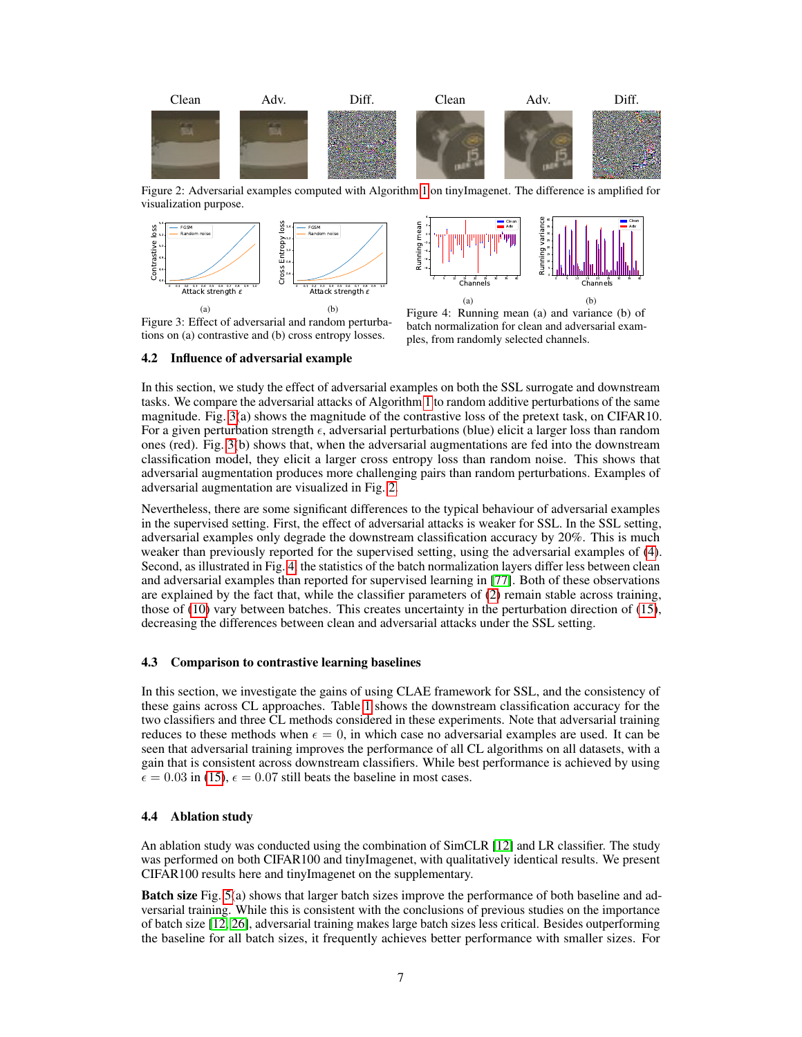<span id="page-6-1"></span>

Figure 2: Adversarial examples computed with Algorithm [1](#page-4-0) on tinyImagenet. The difference is amplified for visualization purpose.

<span id="page-6-0"></span>

Figure 3: Effect of adversarial and random perturbations on (a) contrastive and (b) cross entropy losses.

Figure 4: Running mean (a) and variance (b) of batch normalization for clean and adversarial exam-

#### 4.2 Influence of adversarial example

ples, from randomly selected channels.

In this section, we study the effect of adversarial examples on both the SSL surrogate and downstream tasks. We compare the adversarial attacks of Algorithm [1](#page-4-0) to random additive perturbations of the same magnitude. Fig. [3\(](#page-6-0)a) shows the magnitude of the contrastive loss of the pretext task, on CIFAR10. For a given perturbation strength  $\epsilon$ , adversarial perturbations (blue) elicit a larger loss than random ones (red). Fig. [3\(](#page-6-0)b) shows that, when the adversarial augmentations are fed into the downstream classification model, they elicit a larger cross entropy loss than random noise. This shows that adversarial augmentation produces more challenging pairs than random perturbations. Examples of adversarial augmentation are visualized in Fig. [2.](#page-6-1)

Nevertheless, there are some significant differences to the typical behaviour of adversarial examples in the supervised setting. First, the effect of adversarial attacks is weaker for SSL. In the SSL setting, adversarial examples only degrade the downstream classification accuracy by 20%. This is much weaker than previously reported for the supervised setting, using the adversarial examples of [\(4\)](#page-3-4). Second, as illustrated in Fig. [4,](#page-6-0) the statistics of the batch normalization layers differ less between clean and adversarial examples than reported for supervised learning in [\[77\]](#page-12-6). Both of these observations are explained by the fact that, while the classifier parameters of [\(2\)](#page-3-2) remain stable across training, those of [\(10\)](#page-4-3) vary between batches. This creates uncertainty in the perturbation direction of [\(15\)](#page-5-0), decreasing the differences between clean and adversarial attacks under the SSL setting.

## 4.3 Comparison to contrastive learning baselines

In this section, we investigate the gains of using CLAE framework for SSL, and the consistency of these gains across CL approaches. Table [1](#page-7-0) shows the downstream classification accuracy for the two classifiers and three CL methods considered in these experiments. Note that adversarial training reduces to these methods when  $\epsilon = 0$ , in which case no adversarial examples are used. It can be seen that adversarial training improves the performance of all CL algorithms on all datasets, with a gain that is consistent across downstream classifiers. While best performance is achieved by using  $\epsilon = 0.03$  in [\(15\)](#page-5-0),  $\epsilon = 0.07$  still beats the baseline in most cases.

## 4.4 Ablation study

An ablation study was conducted using the combination of SimCLR [\[12\]](#page-9-4) and LR classifier. The study was performed on both CIFAR100 and tinyImagenet, with qualitatively identical results. We present CIFAR100 results here and tinyImagenet on the supplementary.

Batch size Fig. [5\(](#page-7-1)a) shows that larger batch sizes improve the performance of both baseline and adversarial training. While this is consistent with the conclusions of previous studies on the importance of batch size [\[12,](#page-9-4) [26\]](#page-10-17), adversarial training makes large batch sizes less critical. Besides outperforming the baseline for all batch sizes, it frequently achieves better performance with smaller sizes. For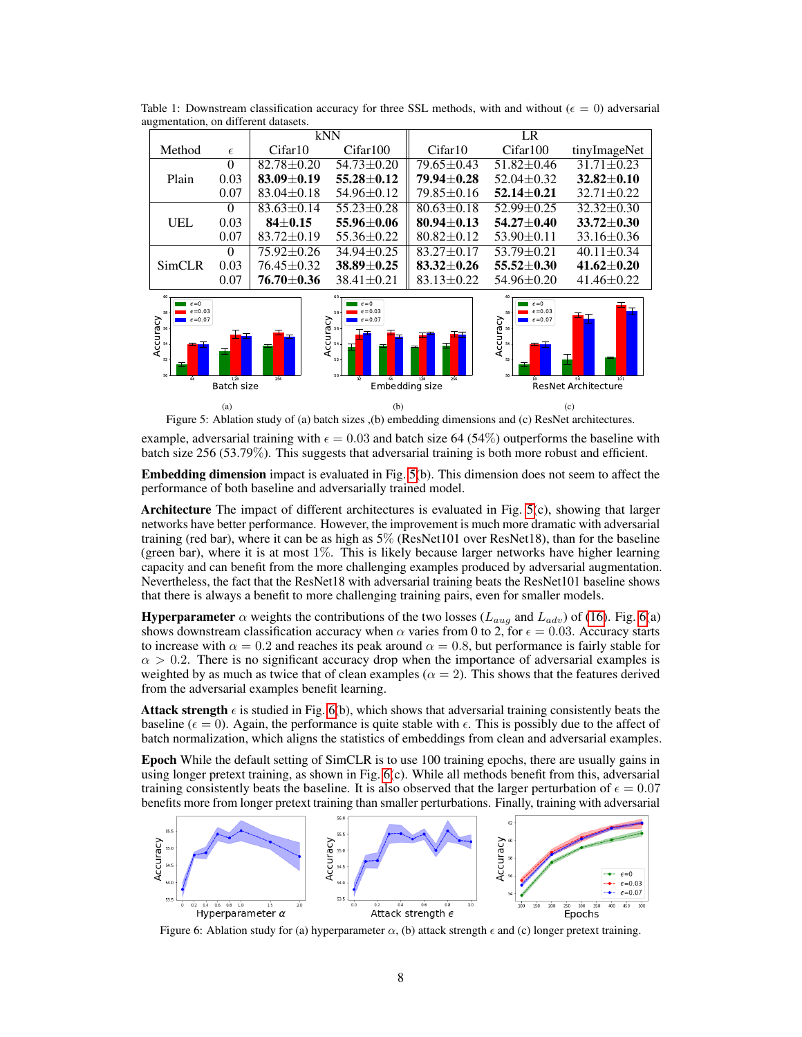|                                                   |            | kNN              |                                                                                  | LR               |                                                                                |                  |
|---------------------------------------------------|------------|------------------|----------------------------------------------------------------------------------|------------------|--------------------------------------------------------------------------------|------------------|
| Method                                            | $\epsilon$ | Cifar10          | Cifar100                                                                         | Cifar10          | Cifar100                                                                       | tinyImageNet     |
| Plain                                             | $\theta$   | $82.78 + 0.20$   | $54.73 + 0.20$                                                                   | $79.65 + 0.43$   | $51.82 + 0.46$                                                                 | $31.71 + 0.23$   |
|                                                   | 0.03       | $83.09 + 0.19$   | $55.28 + 0.12$                                                                   | 79.94+0.28       | $52.04 + 0.32$                                                                 | $32.82 + 0.10$   |
|                                                   | 0.07       | $83.04 \pm 0.18$ | $54.96 \pm 0.12$                                                                 | $79.85 \pm 0.16$ | $52.14 + 0.21$                                                                 | $32.71 + 0.22$   |
| UEL                                               | $\Omega$   | $83.63 + 0.14$   | $55.23 + 0.28$                                                                   | $80.63 + 0.18$   | $52.99 + 0.25$                                                                 | $32.32 + 0.30$   |
|                                                   | 0.03       | $84 + 0.15$      | $55.96 \pm 0.06$                                                                 | $80.94 \pm 0.13$ | $54.27 + 0.40$                                                                 | $33.72 + 0.30$   |
|                                                   | 0.07       | $83.72 \pm 0.19$ | $55.36 \pm 0.22$                                                                 | $80.82 \pm 0.12$ | $53.90 \pm 0.11$                                                               | $33.16 \pm 0.36$ |
| <b>SimCLR</b>                                     | $\Omega$   | $75.92 \pm 0.26$ | $34.94 + 0.25$                                                                   | $83.27 + 0.17$   | $53.79 + 0.21$                                                                 | $40.11 \pm 0.34$ |
|                                                   | 0.03       | $76.45 \pm 0.32$ | $38.89 + 0.25$                                                                   | $83.32 + 0.26$   | $55.52 + 0.30$                                                                 | $41.62 \pm 0.20$ |
|                                                   | 0.07       | $76.70 \pm 0.36$ | $38.41 \pm 0.21$                                                                 | $83.13 \pm 0.22$ | $54.96 \pm 0.20$                                                               | $41.46 \pm 0.22$ |
| $6 = 0$<br>$F = 0.03$<br>5.R<br>$\epsilon = 0.07$ |            |                  | $\epsilon = 0$<br>$6 = 0.03$<br>58<br>ੇ<br>$\epsilon = 0.07$<br>າອັ®<br>ບັ‱<br>T | Ŧ                | $\epsilon = 0$<br>$\epsilon = 0.03$<br>ccuracy.<br>*<br>*<br>$\epsilon = 0.07$ | ⊢⊤<br>ᆂᆍ         |

<span id="page-7-0"></span>Table 1: Downstream classification accuracy for three SSL methods, with and without ( $\epsilon = 0$ ) adversarial augmentation, on different datasets.

<span id="page-7-1"></span>

Figure 5: Ablation study of (a) batch sizes ,(b) embedding dimensions and (c) ResNet architectures.

example, adversarial training with  $\epsilon = 0.03$  and batch size 64 (54%) outperforms the baseline with batch size 256 (53.79%). This suggests that adversarial training is both more robust and efficient.

Embedding dimension impact is evaluated in Fig. [5\(](#page-7-1)b). This dimension does not seem to affect the performance of both baseline and adversarially trained model.

Architecture The impact of different architectures is evaluated in Fig. [5\(](#page-7-1)c), showing that larger networks have better performance. However, the improvement is much more dramatic with adversarial training (red bar), where it can be as high as 5% (ResNet101 over ResNet18), than for the baseline (green bar), where it is at most  $1\%$ . This is likely because larger networks have higher learning capacity and can benefit from the more challenging examples produced by adversarial augmentation. Nevertheless, the fact that the ResNet18 with adversarial training beats the ResNet101 baseline shows that there is always a benefit to more challenging training pairs, even for smaller models.

**Hyperparameter**  $\alpha$  weights the contributions of the two losses ( $L_{aug}$  and  $L_{adv}$ ) of [\(16\)](#page-5-1). Fig. [6\(](#page-7-2)a) shows downstream classification accuracy when  $\alpha$  varies from 0 to 2, for  $\epsilon = 0.03$ . Accuracy starts to increase with  $\alpha = 0.2$  and reaches its peak around  $\alpha = 0.8$ , but performance is fairly stable for  $\alpha > 0.2$ . There is no significant accuracy drop when the importance of adversarial examples is weighted by as much as twice that of clean examples ( $\alpha = 2$ ). This shows that the features derived from the adversarial examples benefit learning.

Attack strength  $\epsilon$  is studied in Fig. [6\(](#page-7-2)b), which shows that adversarial training consistently beats the baseline ( $\epsilon = 0$ ). Again, the performance is quite stable with  $\epsilon$ . This is possibly due to the affect of batch normalization, which aligns the statistics of embeddings from clean and adversarial examples.

Epoch While the default setting of SimCLR is to use 100 training epochs, there are usually gains in using longer pretext training, as shown in Fig. [6\(](#page-7-2)c). While all methods benefit from this, adversarial training consistently beats the baseline. It is also observed that the larger perturbation of  $\epsilon = 0.07$ benefits more from longer pretext training than smaller perturbations. Finally, training with adversarial

<span id="page-7-2"></span>

Figure 6: Ablation study for (a) hyperparameter  $\alpha$ , (b) attack strength  $\epsilon$  and (c) longer pretext training.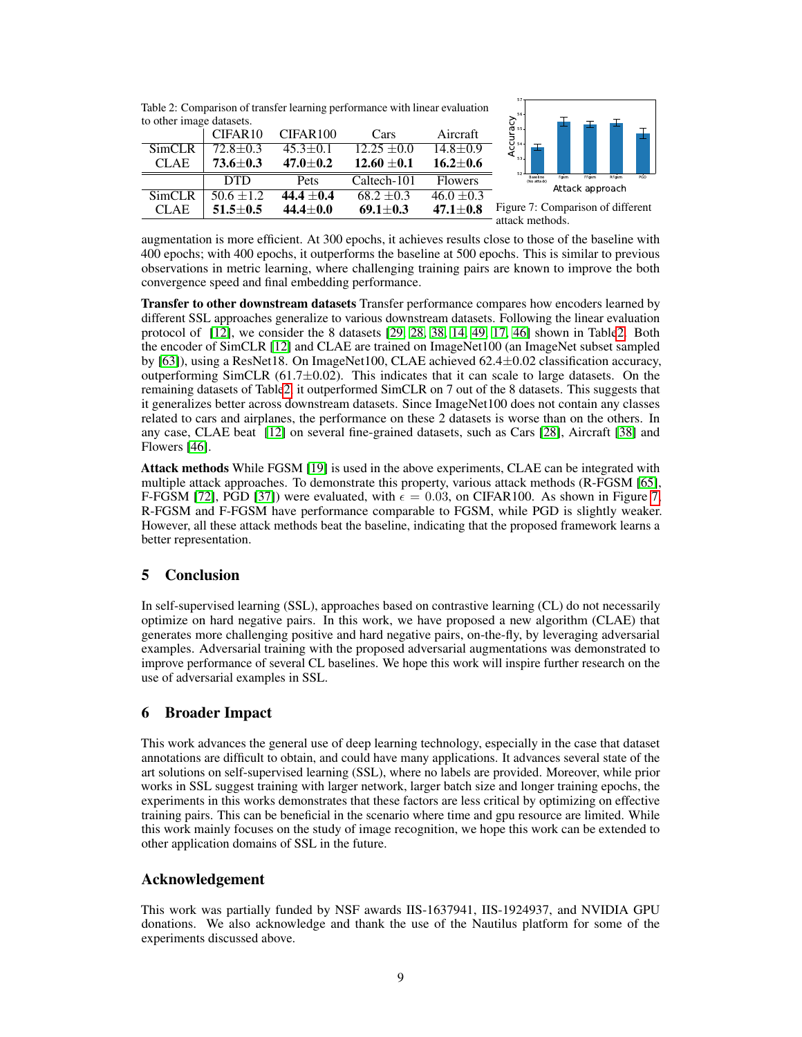<span id="page-8-0"></span>

augmentation is more efficient. At 300 epochs, it achieves results close to those of the baseline with 400 epochs; with 400 epochs, it outperforms the baseline at 500 epochs. This is similar to previous observations in metric learning, where challenging training pairs are known to improve the both convergence speed and final embedding performance.

Transfer to other downstream datasets Transfer performance compares how encoders learned by different SSL approaches generalize to various downstream datasets. Following the linear evaluation protocol of [\[12\]](#page-9-4), we consider the 8 datasets [\[29,](#page-10-16) [28,](#page-10-18) [38,](#page-10-19) [14,](#page-9-19) [49,](#page-11-20) [17,](#page-9-20) [46\]](#page-11-21) shown in Tabl[e2.](#page-8-0) Both the encoder of SimCLR [\[12\]](#page-9-4) and CLAE are trained on ImageNet100 (an ImageNet subset sampled by [\[63\]](#page-11-3)), using a ResNet18. On ImageNet100, CLAE achieved 62.4±0.02 classification accuracy, outperforming SimCLR  $(61.7\pm0.02)$ . This indicates that it can scale to large datasets. On the remaining datasets of Tabl[e2,](#page-8-0) it outperformed SimCLR on 7 out of the 8 datasets. This suggests that it generalizes better across downstream datasets. Since ImageNet100 does not contain any classes related to cars and airplanes, the performance on these 2 datasets is worse than on the others. In any case, CLAE beat [\[12\]](#page-9-4) on several fine-grained datasets, such as Cars [\[28\]](#page-10-18), Aircraft [\[38\]](#page-10-19) and Flowers [\[46\]](#page-11-21).

Attack methods While FGSM [\[19\]](#page-9-10) is used in the above experiments, CLAE can be integrated with multiple attack approaches. To demonstrate this property, various attack methods (R-FGSM [\[65\]](#page-12-13), F-FGSM [\[72\]](#page-12-17), PGD [\[37\]](#page-10-20)) were evaluated, with  $\epsilon = 0.03$ , on CIFAR100. As shown in Figure [7,](#page-8-0) R-FGSM and F-FGSM have performance comparable to FGSM, while PGD is slightly weaker. However, all these attack methods beat the baseline, indicating that the proposed framework learns a better representation.

# 5 Conclusion

In self-supervised learning (SSL), approaches based on contrastive learning (CL) do not necessarily optimize on hard negative pairs. In this work, we have proposed a new algorithm (CLAE) that generates more challenging positive and hard negative pairs, on-the-fly, by leveraging adversarial examples. Adversarial training with the proposed adversarial augmentations was demonstrated to improve performance of several CL baselines. We hope this work will inspire further research on the use of adversarial examples in SSL.

# 6 Broader Impact

This work advances the general use of deep learning technology, especially in the case that dataset annotations are difficult to obtain, and could have many applications. It advances several state of the art solutions on self-supervised learning (SSL), where no labels are provided. Moreover, while prior works in SSL suggest training with larger network, larger batch size and longer training epochs, the experiments in this works demonstrates that these factors are less critical by optimizing on effective training pairs. This can be beneficial in the scenario where time and gpu resource are limited. While this work mainly focuses on the study of image recognition, we hope this work can be extended to other application domains of SSL in the future.

# Acknowledgement

This work was partially funded by NSF awards IIS-1637941, IIS-1924937, and NVIDIA GPU donations. We also acknowledge and thank the use of the Nautilus platform for some of the experiments discussed above.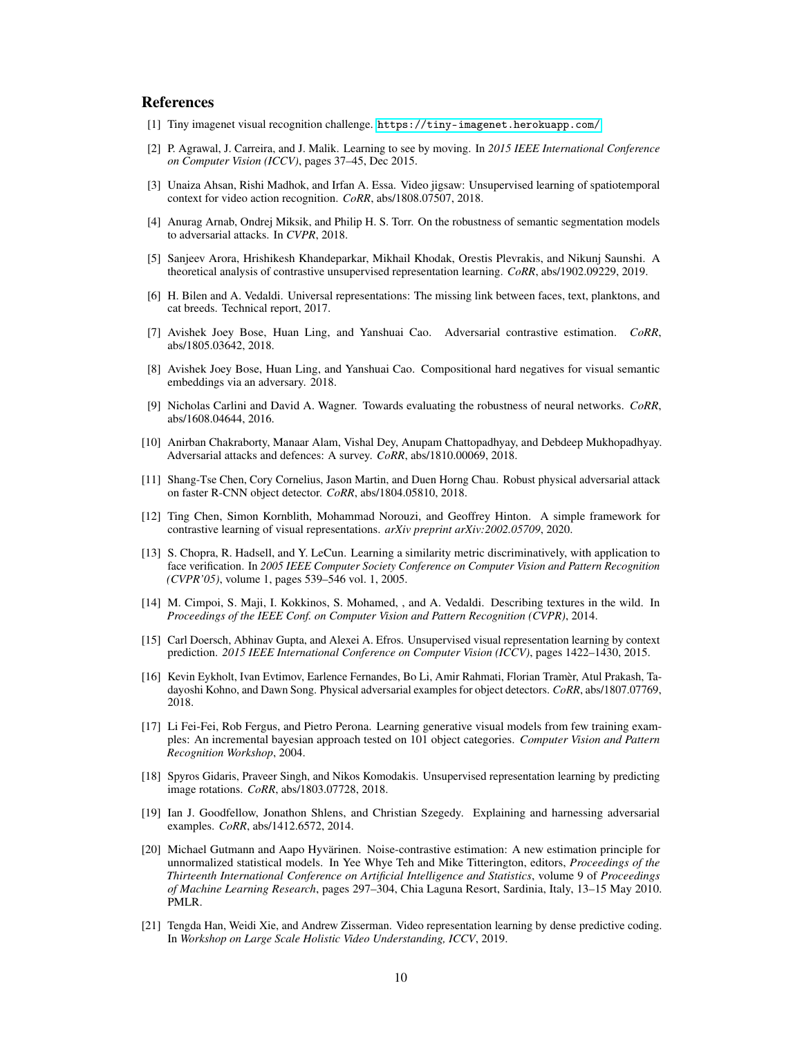## References

- <span id="page-9-18"></span>[1] Tiny imagenet visual recognition challenge. <https://tiny-imagenet.herokuapp.com/>.
- <span id="page-9-0"></span>[2] P. Agrawal, J. Carreira, and J. Malik. Learning to see by moving. In *2015 IEEE International Conference on Computer Vision (ICCV)*, pages 37–45, Dec 2015.
- <span id="page-9-1"></span>[3] Unaiza Ahsan, Rishi Madhok, and Irfan A. Essa. Video jigsaw: Unsupervised learning of spatiotemporal context for video action recognition. *CoRR*, abs/1808.07507, 2018.
- <span id="page-9-16"></span>[4] Anurag Arnab, Ondrej Miksik, and Philip H. S. Torr. On the robustness of semantic segmentation models to adversarial attacks. In *CVPR*, 2018.
- <span id="page-9-5"></span>[5] Sanjeev Arora, Hrishikesh Khandeparkar, Mikhail Khodak, Orestis Plevrakis, and Nikunj Saunshi. A theoretical analysis of contrastive unsupervised representation learning. *CoRR*, abs/1902.09229, 2019.
- <span id="page-9-17"></span>[6] H. Bilen and A. Vedaldi. Universal representations: The missing link between faces, text, planktons, and cat breeds. Technical report, 2017.
- <span id="page-9-8"></span>[7] Avishek Joey Bose, Huan Ling, and Yanshuai Cao. Adversarial contrastive estimation. *CoRR*, abs/1805.03642, 2018.
- <span id="page-9-13"></span>[8] Avishek Joey Bose, Huan Ling, and Yanshuai Cao. Compositional hard negatives for visual semantic embeddings via an adversary. 2018.
- <span id="page-9-14"></span>[9] Nicholas Carlini and David A. Wagner. Towards evaluating the robustness of neural networks. *CoRR*, abs/1608.04644, 2016.
- <span id="page-9-9"></span>[10] Anirban Chakraborty, Manaar Alam, Vishal Dey, Anupam Chattopadhyay, and Debdeep Mukhopadhyay. Adversarial attacks and defences: A survey. *CoRR*, abs/1810.00069, 2018.
- <span id="page-9-11"></span>[11] Shang-Tse Chen, Cory Cornelius, Jason Martin, and Duen Horng Chau. Robust physical adversarial attack on faster R-CNN object detector. *CoRR*, abs/1804.05810, 2018.
- <span id="page-9-4"></span>[12] Ting Chen, Simon Kornblith, Mohammad Norouzi, and Geoffrey Hinton. A simple framework for contrastive learning of visual representations. *arXiv preprint arXiv:2002.05709*, 2020.
- <span id="page-9-12"></span>[13] S. Chopra, R. Hadsell, and Y. LeCun. Learning a similarity metric discriminatively, with application to face verification. In *2005 IEEE Computer Society Conference on Computer Vision and Pattern Recognition (CVPR'05)*, volume 1, pages 539–546 vol. 1, 2005.
- <span id="page-9-19"></span>[14] M. Cimpoi, S. Maji, I. Kokkinos, S. Mohamed, , and A. Vedaldi. Describing textures in the wild. In *Proceedings of the IEEE Conf. on Computer Vision and Pattern Recognition (CVPR)*, 2014.
- <span id="page-9-2"></span>[15] Carl Doersch, Abhinav Gupta, and Alexei A. Efros. Unsupervised visual representation learning by context prediction. *2015 IEEE International Conference on Computer Vision (ICCV)*, pages 1422–1430, 2015.
- <span id="page-9-15"></span>[16] Kevin Eykholt, Ivan Evtimov, Earlence Fernandes, Bo Li, Amir Rahmati, Florian Tramèr, Atul Prakash, Tadayoshi Kohno, and Dawn Song. Physical adversarial examples for object detectors. *CoRR*, abs/1807.07769, 2018.
- <span id="page-9-20"></span>[17] Li Fei-Fei, Rob Fergus, and Pietro Perona. Learning generative visual models from few training examples: An incremental bayesian approach tested on 101 object categories. *Computer Vision and Pattern Recognition Workshop*, 2004.
- <span id="page-9-3"></span>[18] Spyros Gidaris, Praveer Singh, and Nikos Komodakis. Unsupervised representation learning by predicting image rotations. *CoRR*, abs/1803.07728, 2018.
- <span id="page-9-10"></span>[19] Ian J. Goodfellow, Jonathon Shlens, and Christian Szegedy. Explaining and harnessing adversarial examples. *CoRR*, abs/1412.6572, 2014.
- <span id="page-9-7"></span>[20] Michael Gutmann and Aapo Hyvärinen. Noise-contrastive estimation: A new estimation principle for unnormalized statistical models. In Yee Whye Teh and Mike Titterington, editors, *Proceedings of the Thirteenth International Conference on Artificial Intelligence and Statistics*, volume 9 of *Proceedings of Machine Learning Research*, pages 297–304, Chia Laguna Resort, Sardinia, Italy, 13–15 May 2010. PMLR.
- <span id="page-9-6"></span>[21] Tengda Han, Weidi Xie, and Andrew Zisserman. Video representation learning by dense predictive coding. In *Workshop on Large Scale Holistic Video Understanding, ICCV*, 2019.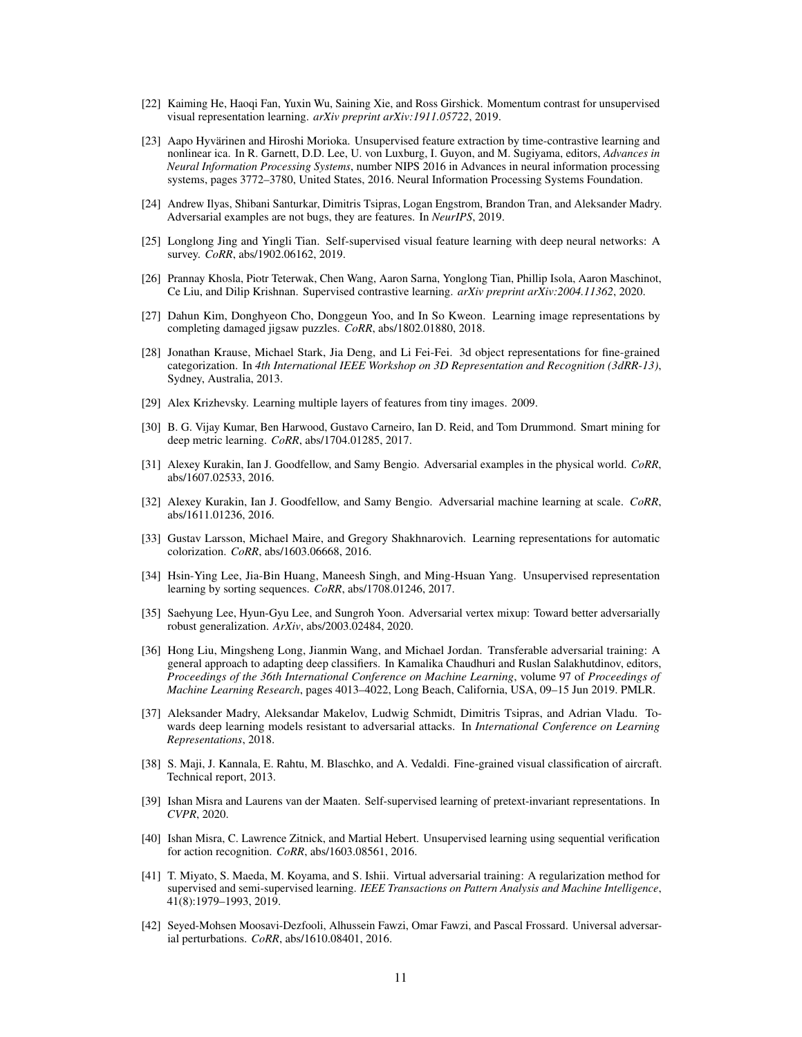- <span id="page-10-4"></span>[22] Kaiming He, Haoqi Fan, Yuxin Wu, Saining Xie, and Ross Girshick. Momentum contrast for unsupervised visual representation learning. *arXiv preprint arXiv:1911.05722*, 2019.
- <span id="page-10-5"></span>[23] Aapo Hyvärinen and Hiroshi Morioka. Unsupervised feature extraction by time-contrastive learning and nonlinear ica. In R. Garnett, D.D. Lee, U. von Luxburg, I. Guyon, and M. Sugiyama, editors, *Advances in Neural Information Processing Systems*, number NIPS 2016 in Advances in neural information processing systems, pages 3772–3780, United States, 2016. Neural Information Processing Systems Foundation.
- <span id="page-10-14"></span>[24] Andrew Ilyas, Shibani Santurkar, Dimitris Tsipras, Logan Engstrom, Brandon Tran, and Aleksander Madry. Adversarial examples are not bugs, they are features. In *NeurIPS*, 2019.
- <span id="page-10-0"></span>[25] Longlong Jing and Yingli Tian. Self-supervised visual feature learning with deep neural networks: A survey. *CoRR*, abs/1902.06162, 2019.
- <span id="page-10-17"></span>[26] Prannay Khosla, Piotr Teterwak, Chen Wang, Aaron Sarna, Yonglong Tian, Phillip Isola, Aaron Maschinot, Ce Liu, and Dilip Krishnan. Supervised contrastive learning. *arXiv preprint arXiv:2004.11362*, 2020.
- <span id="page-10-3"></span>[27] Dahun Kim, Donghyeon Cho, Donggeun Yoo, and In So Kweon. Learning image representations by completing damaged jigsaw puzzles. *CoRR*, abs/1802.01880, 2018.
- <span id="page-10-18"></span>[28] Jonathan Krause, Michael Stark, Jia Deng, and Li Fei-Fei. 3d object representations for fine-grained categorization. In *4th International IEEE Workshop on 3D Representation and Recognition (3dRR-13)*, Sydney, Australia, 2013.
- <span id="page-10-16"></span>[29] Alex Krizhevsky. Learning multiple layers of features from tiny images. 2009.
- <span id="page-10-7"></span>[30] B. G. Vijay Kumar, Ben Harwood, Gustavo Carneiro, Ian D. Reid, and Tom Drummond. Smart mining for deep metric learning. *CoRR*, abs/1704.01285, 2017.
- <span id="page-10-10"></span>[31] Alexey Kurakin, Ian J. Goodfellow, and Samy Bengio. Adversarial examples in the physical world. *CoRR*, abs/1607.02533, 2016.
- <span id="page-10-12"></span>[32] Alexey Kurakin, Ian J. Goodfellow, and Samy Bengio. Adversarial machine learning at scale. *CoRR*, abs/1611.01236, 2016.
- <span id="page-10-2"></span>[33] Gustav Larsson, Michael Maire, and Gregory Shakhnarovich. Learning representations for automatic colorization. *CoRR*, abs/1603.06668, 2016.
- <span id="page-10-1"></span>[34] Hsin-Ying Lee, Jia-Bin Huang, Maneesh Singh, and Ming-Hsuan Yang. Unsupervised representation learning by sorting sequences. *CoRR*, abs/1708.01246, 2017.
- <span id="page-10-13"></span>[35] Saehyung Lee, Hyun-Gyu Lee, and Sungroh Yoon. Adversarial vertex mixup: Toward better adversarially robust generalization. *ArXiv*, abs/2003.02484, 2020.
- <span id="page-10-15"></span>[36] Hong Liu, Mingsheng Long, Jianmin Wang, and Michael Jordan. Transferable adversarial training: A general approach to adapting deep classifiers. In Kamalika Chaudhuri and Ruslan Salakhutdinov, editors, *Proceedings of the 36th International Conference on Machine Learning*, volume 97 of *Proceedings of Machine Learning Research*, pages 4013–4022, Long Beach, California, USA, 09–15 Jun 2019. PMLR.
- <span id="page-10-20"></span>[37] Aleksander Madry, Aleksandar Makelov, Ludwig Schmidt, Dimitris Tsipras, and Adrian Vladu. Towards deep learning models resistant to adversarial attacks. In *International Conference on Learning Representations*, 2018.
- <span id="page-10-19"></span>[38] S. Maji, J. Kannala, E. Rahtu, M. Blaschko, and A. Vedaldi. Fine-grained visual classification of aircraft. Technical report, 2013.
- <span id="page-10-6"></span>[39] Ishan Misra and Laurens van der Maaten. Self-supervised learning of pretext-invariant representations. In *CVPR*, 2020.
- <span id="page-10-9"></span>[40] Ishan Misra, C. Lawrence Zitnick, and Martial Hebert. Unsupervised learning using sequential verification for action recognition. *CoRR*, abs/1603.08561, 2016.
- <span id="page-10-8"></span>[41] T. Miyato, S. Maeda, M. Koyama, and S. Ishii. Virtual adversarial training: A regularization method for supervised and semi-supervised learning. *IEEE Transactions on Pattern Analysis and Machine Intelligence*, 41(8):1979–1993, 2019.
- <span id="page-10-11"></span>[42] Seyed-Mohsen Moosavi-Dezfooli, Alhussein Fawzi, Omar Fawzi, and Pascal Frossard. Universal adversarial perturbations. *CoRR*, abs/1610.08401, 2016.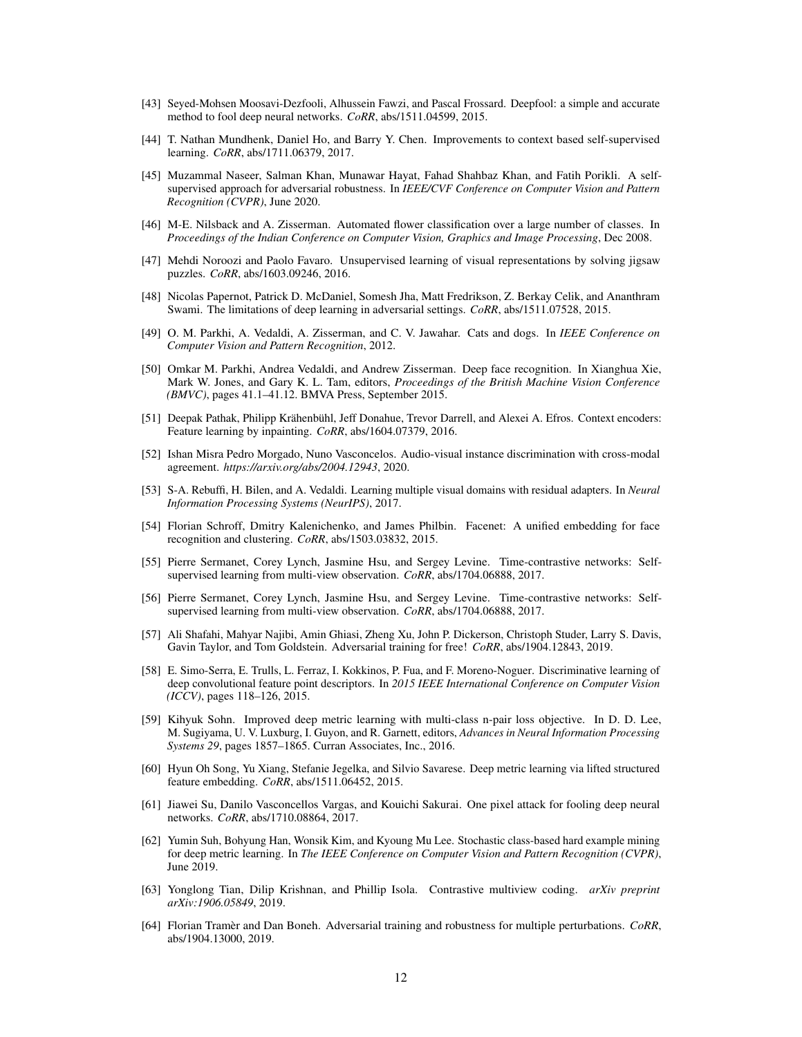- <span id="page-11-14"></span>[43] Seyed-Mohsen Moosavi-Dezfooli, Alhussein Fawzi, and Pascal Frossard. Deepfool: a simple and accurate method to fool deep neural networks. *CoRR*, abs/1511.04599, 2015.
- <span id="page-11-2"></span>[44] T. Nathan Mundhenk, Daniel Ho, and Barry Y. Chen. Improvements to context based self-supervised learning. *CoRR*, abs/1711.06379, 2017.
- <span id="page-11-17"></span>[45] Muzammal Naseer, Salman Khan, Munawar Hayat, Fahad Shahbaz Khan, and Fatih Porikli. A selfsupervised approach for adversarial robustness. In *IEEE/CVF Conference on Computer Vision and Pattern Recognition (CVPR)*, June 2020.
- <span id="page-11-21"></span>[46] M-E. Nilsback and A. Zisserman. Automated flower classification over a large number of classes. In *Proceedings of the Indian Conference on Computer Vision, Graphics and Image Processing*, Dec 2008.
- <span id="page-11-1"></span>[47] Mehdi Noroozi and Paolo Favaro. Unsupervised learning of visual representations by solving jigsaw puzzles. *CoRR*, abs/1603.09246, 2016.
- <span id="page-11-13"></span>[48] Nicolas Papernot, Patrick D. McDaniel, Somesh Jha, Matt Fredrikson, Z. Berkay Celik, and Ananthram Swami. The limitations of deep learning in adversarial settings. *CoRR*, abs/1511.07528, 2015.
- <span id="page-11-20"></span>[49] O. M. Parkhi, A. Vedaldi, A. Zisserman, and C. V. Jawahar. Cats and dogs. In *IEEE Conference on Computer Vision and Pattern Recognition*, 2012.
- <span id="page-11-11"></span>[50] Omkar M. Parkhi, Andrea Vedaldi, and Andrew Zisserman. Deep face recognition. In Xianghua Xie, Mark W. Jones, and Gary K. L. Tam, editors, *Proceedings of the British Machine Vision Conference (BMVC)*, pages 41.1–41.12. BMVA Press, September 2015.
- <span id="page-11-0"></span>[51] Deepak Pathak, Philipp Krähenbühl, Jeff Donahue, Trevor Darrell, and Alexei A. Efros. Context encoders: Feature learning by inpainting. *CoRR*, abs/1604.07379, 2016.
- <span id="page-11-6"></span>[52] Ishan Misra Pedro Morgado, Nuno Vasconcelos. Audio-visual instance discrimination with cross-modal agreement. *https://arxiv.org/abs/2004.12943*, 2020.
- <span id="page-11-19"></span>[53] S-A. Rebuffi, H. Bilen, and A. Vedaldi. Learning multiple visual domains with residual adapters. In *Neural Information Processing Systems (NeurIPS)*, 2017.
- <span id="page-11-8"></span>[54] Florian Schroff, Dmitry Kalenichenko, and James Philbin. Facenet: A unified embedding for face recognition and clustering. *CoRR*, abs/1503.03832, 2015.
- <span id="page-11-4"></span>[55] Pierre Sermanet, Corey Lynch, Jasmine Hsu, and Sergey Levine. Time-contrastive networks: Selfsupervised learning from multi-view observation. *CoRR*, abs/1704.06888, 2017.
- <span id="page-11-5"></span>[56] Pierre Sermanet, Corey Lynch, Jasmine Hsu, and Sergey Levine. Time-contrastive networks: Selfsupervised learning from multi-view observation. *CoRR*, abs/1704.06888, 2017.
- <span id="page-11-16"></span>[57] Ali Shafahi, Mahyar Najibi, Amin Ghiasi, Zheng Xu, John P. Dickerson, Christoph Studer, Larry S. Davis, Gavin Taylor, and Tom Goldstein. Adversarial training for free! *CoRR*, abs/1904.12843, 2019.
- <span id="page-11-10"></span>[58] E. Simo-Serra, E. Trulls, L. Ferraz, I. Kokkinos, P. Fua, and F. Moreno-Noguer. Discriminative learning of deep convolutional feature point descriptors. In *2015 IEEE International Conference on Computer Vision (ICCV)*, pages 118–126, 2015.
- <span id="page-11-7"></span>[59] Kihyuk Sohn. Improved deep metric learning with multi-class n-pair loss objective. In D. D. Lee, M. Sugiyama, U. V. Luxburg, I. Guyon, and R. Garnett, editors, *Advances in Neural Information Processing Systems 29*, pages 1857–1865. Curran Associates, Inc., 2016.
- <span id="page-11-12"></span>[60] Hyun Oh Song, Yu Xiang, Stefanie Jegelka, and Silvio Savarese. Deep metric learning via lifted structured feature embedding. *CoRR*, abs/1511.06452, 2015.
- <span id="page-11-15"></span>[61] Jiawei Su, Danilo Vasconcellos Vargas, and Kouichi Sakurai. One pixel attack for fooling deep neural networks. *CoRR*, abs/1710.08864, 2017.
- <span id="page-11-9"></span>[62] Yumin Suh, Bohyung Han, Wonsik Kim, and Kyoung Mu Lee. Stochastic class-based hard example mining for deep metric learning. In *The IEEE Conference on Computer Vision and Pattern Recognition (CVPR)*, June 2019.
- <span id="page-11-3"></span>[63] Yonglong Tian, Dilip Krishnan, and Phillip Isola. Contrastive multiview coding. *arXiv preprint arXiv:1906.05849*, 2019.
- <span id="page-11-18"></span>[64] Florian Tramèr and Dan Boneh. Adversarial training and robustness for multiple perturbations. *CoRR*, abs/1904.13000, 2019.